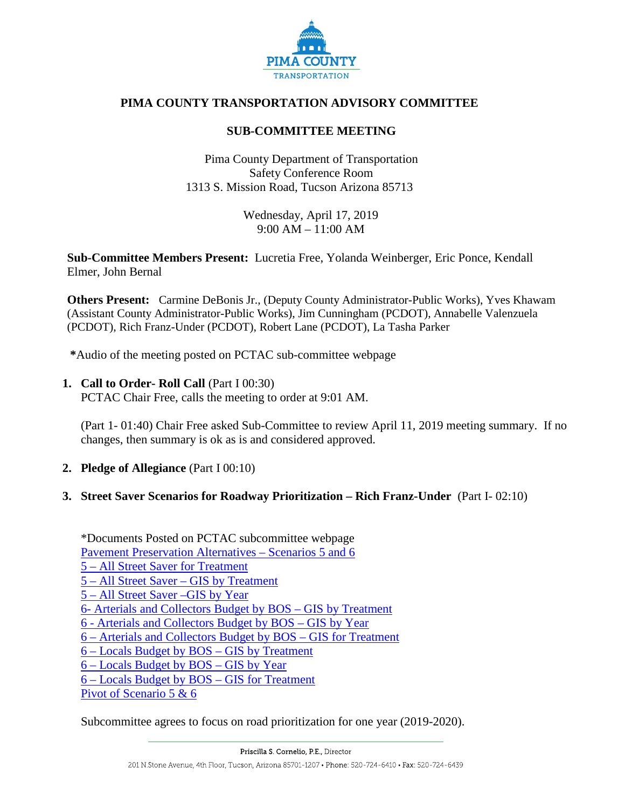

# **PIMA COUNTY TRANSPORTATION ADVISORY COMMITTEE**

## **SUB-COMMITTEE MEETING**

Pima County Department of Transportation Safety Conference Room 1313 S. Mission Road, Tucson Arizona 85713

> Wednesday, April 17, 2019 9:00 AM – 11:00 AM

**Sub-Committee Members Present:** Lucretia Free, Yolanda Weinberger, Eric Ponce, Kendall Elmer, John Bernal

**Others Present:** Carmine DeBonis Jr., (Deputy County Administrator-Public Works), Yves Khawam (Assistant County Administrator-Public Works), Jim Cunningham (PCDOT), Annabelle Valenzuela (PCDOT), Rich Franz-Under (PCDOT), Robert Lane (PCDOT), La Tasha Parker

**\***Audio of the meeting posted on PCTAC sub-committee webpage

## **1. Call to Order- Roll Call** (Part I 00:30)

PCTAC Chair Free, calls the meeting to order at 9:01 AM.

(Part 1- 01:40) Chair Free asked Sub-Committee to review April 11, 2019 meeting summary. If no changes, then summary is ok as is and considered approved.

**2. Pledge of Allegiance** (Part I 00:10)

### **3. Street Saver Scenarios for Roadway Prioritization – Rich Franz-Under** (Part I- 02:10)

\*Documents Posted on PCTAC subcommittee webpage [Pavement Preservation Alternatives –](http://webcms.pima.gov/UserFiles/Servers/Server_6/File/Government/Transportation/TransportationAdvisoryCommittee/DocumentsTab/Apr23,%202019/_SummaryReport_TAC20190411.pdf) Scenarios 5 and 6 5 – [All Street Saver for Treatment](http://webcms.pima.gov/UserFiles/Servers/Server_6/File/Government/Transportation/TransportationAdvisoryCommittee/DocumentsTab/Apr23,%202019/5_All%20StreetSaver-SectionsSelectedforTreat_Custom_Formatted.pdf) 5 – All Street Saver – [GIS by Treatment](http://webcms.pima.gov/UserFiles/Servers/Server_6/File/Government/Transportation/TransportationAdvisoryCommittee/DocumentsTab/Apr23,%202019/5_AllStreetSaver-GIS_by_Treatment.pdf) 5 – [All Street Saver –GIS by Year](http://webcms.pima.gov/UserFiles/Servers/Server_6/File/Government/Transportation/TransportationAdvisoryCommittee/DocumentsTab/Apr23,%202019/5_AllStreetSaver-GIS_by_Year.pdf) 6- [Arterials and Collectors Budget by BOS –](http://webcms.pima.gov/UserFiles/Servers/Server_6/File/Government/Transportation/TransportationAdvisoryCommittee/DocumentsTab/Apr23,%202019/6_ArterialsandCollectorsBudget_by_BOS-GIS_by_Treatment.pdf) GIS by Treatment 6 - [Arterials and Collectors Budget by BOS –](http://webcms.pima.gov/UserFiles/Servers/Server_6/File/Government/Transportation/TransportationAdvisoryCommittee/DocumentsTab/Apr23,%202019/6_ArterialsandCollectorsBudget_by_BOS-GIS_by_Year.pdf) GIS by Year 6 – [Arterials and Collectors Budget by BOS –](http://webcms.pima.gov/UserFiles/Servers/Server_6/File/Government/Transportation/TransportationAdvisoryCommittee/DocumentsTab/Apr23,%202019/6_ArterialsandCollectorsBudget_by_BOS-SectionsSelectedforTreat_Cust_Formatted.pdf) GIS for Treatment 6 – [Locals Budget by BOS –](http://webcms.pima.gov/UserFiles/Servers/Server_6/File/Government/Transportation/TransportationAdvisoryCommittee/DocumentsTab/Apr23,%202019/6_LocalsBudget_by_BOS-GIS_by_Treatment.pdf) GIS by Treatment 6 – [Locals Budget by BOS –](http://webcms.pima.gov/UserFiles/Servers/Server_6/File/Government/Transportation/TransportationAdvisoryCommittee/DocumentsTab/Apr23,%202019/6_LocalsBudget_by_BOS-GIS_by_Year.pdf) GIS by Year 6 – [Locals Budget by BOS –](http://webcms.pima.gov/UserFiles/Servers/Server_6/File/Government/Transportation/TransportationAdvisoryCommittee/DocumentsTab/Apr23,%202019/6_LocalsBudget_by_BOS-SectionsSelectedforTreat_Cust_Formatted.pdf) GIS for Treatment [Pivot of Scenario 5 & 6](http://webcms.pima.gov/UserFiles/Servers/Server_6/File/Government/Transportation/TransportationAdvisoryCommittee/SubComm-Mtgs/Pivot_of_Scenario_5_&_6.pdf)

Subcommittee agrees to focus on road prioritization for one year (2019-2020).